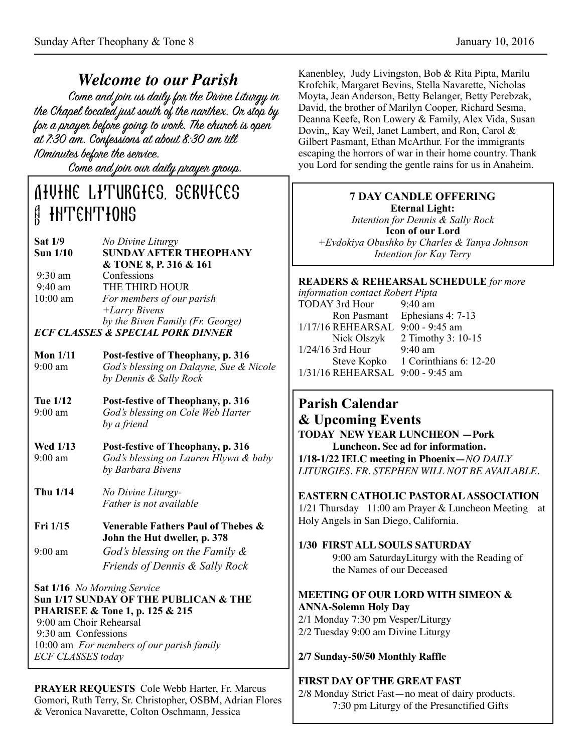*Welcome to our Parish* the Chapel located just south of the narthex. Or stop by for a prayer before going to work. The church is open at 7:30 am. Confessions at about 8:30 am till 10minutes before the service.

Come and join our daily prayer group.

# Divine Liturgies, services **A INTENTIONS**

| <b>Sat 1/9</b>  | No Divine Liturgy                            |
|-----------------|----------------------------------------------|
| <b>Sun 1/10</b> | <b>SUNDAY AFTER THEOPHANY</b>                |
|                 | & TONE 8, P. 316 & 161                       |
| $9:30$ am       | Confessions                                  |
| $9:40$ am       | THE THIRD HOUR                               |
| $10:00$ am      | For members of our parish                    |
|                 | $+ Larry Bivens$                             |
|                 | by the Biven Family (Fr. George)             |
|                 | <b>ECF CLASSES &amp; SPECIAL PORK DINNER</b> |

| Mon $1/11$        | Post-festive of Theophany, p. 316       |
|-------------------|-----------------------------------------|
| $9:00 \text{ am}$ | God's blessing on Dalayne, Sue & Nicole |
|                   | by Dennis & Sally Rock                  |

- **Tue 1/12 Post-festive of Theophany, p. 316**  9:00 am *God's blessing on Cole Web Harter by a friend*
- **Wed 1/13 Post-festive of Theophany, p. 316**  9:00 am *God's blessing on Lauren Hlywa & baby by Barbara Bivens*
- **Thu 1/14** *No Divine Liturgy- Father is not available*
- **Fri 1/15 Venerable Fathers Paul of Thebes & John the Hut dweller, p. 378**  9:00 am *God's blessing on the Family &* 
	- *Friends of Dennis & Sally Rock*

**Sat 1/16** *No Morning Service* **Sun 1/17 SUNDAY OF THE PUBLICAN & THE PHARISEE & Tone 1, p. 125 & 215**  9:00 am Choir Rehearsal 9:30 am Confessions 10:00 am *For members of our parish family ECF CLASSES today* 

**PRAYER REQUESTS** Cole Webb Harter, Fr. Marcus Gomori, Ruth Terry, Sr. Christopher, OSBM, Adrian Flores & Veronica Navarette, Colton Oschmann, Jessica

Kanenbley, Judy Livingston, Bob & Rita Pipta, Marilu Krofchik, Margaret Bevins, Stella Navarette, Nicholas Moyta, Jean Anderson, Betty Belanger, Betty Perebzak, David, the brother of Marilyn Cooper, Richard Sesma, Deanna Keefe, Ron Lowery & Family, Alex Vida, Susan Dovin,, Kay Weil, Janet Lambert, and Ron, Carol & Gilbert Pasmant, Ethan McArthur. For the immigrants escaping the horrors of war in their home country. Thank you Lord for sending the gentle rains for us in Anaheim.

### **7 DAY CANDLE OFFERING Eternal Light:**

*Intention for Dennis & Sally Rock*  **Icon of our Lord**  *+Evdokiya Obushko by Charles & Tanya Johnson Intention for Kay Terry*

#### **READERS & REHEARSAL SCHEDULE** *for more*

*information contact Robert Pipta* TODAY 3rd Hour 9:40 am<br>Ron Pasmant Ephesian Ephesians  $4: 7-13$ 1/17/16 REHEARSAL 9:00 - 9:45 am Nick Olszyk 2 Timothy 3: 10-15 1/24/16 3rd Hour 9:40 am Steve Kopko 1 Corinthians 6: 12-20 1/31/16 REHEARSAL 9:00 - 9:45 am

## **Parish Calendar & Upcoming Events**

**TODAY NEW YEAR LUNCHEON —Pork Luncheon. See ad for information. 1/18-1/22 IELC meeting in Phoenix—***NO DAILY LITURGIES. FR. STEPHEN WILL NOT BE AVAILABLE.*

#### **EASTERN CATHOLIC PASTORAL ASSOCIATION**

1/21 Thursday 11:00 am Prayer & Luncheon Meeting at Holy Angels in San Diego, California.

**1/30 FIRST ALL SOULS SATURDAY**

9:00 am SaturdayLiturgy with the Reading of the Names of our Deceased

#### **MEETING OF OUR LORD WITH SIMEON & ANNA-Solemn Holy Day**

2/1 Monday 7:30 pm Vesper/Liturgy 2/2 Tuesday 9:00 am Divine Liturgy

#### **2/7 Sunday-50/50 Monthly Raffle**

#### **FIRST DAY OF THE GREAT FAST**

2/8 Monday Strict Fast—no meat of dairy products. 7:30 pm Liturgy of the Presanctified Gifts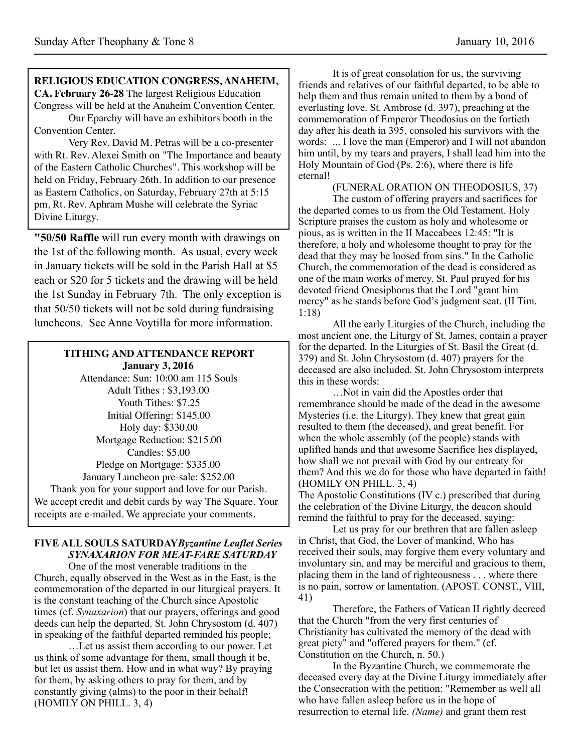#### **RELIGIOUS EDUCATION CONGRESS, ANAHEIM, CA. February 26-28** The largest Religious Education

Congress will be held at the Anaheim Convention Center. Our Eparchy will have an exhibitors booth in the Convention Center.

Very Rev. David M. Petras will be a co-presenter with Rt. Rev. Alexei Smith on "The Importance and beauty of the Eastern Catholic Churches". This workshop will be held on Friday, February 26th. In addition to our presence as Eastern Catholics, on Saturday, February 27th at 5:15 pm, Rt. Rev. Aphram Mushe will celebrate the Syriac Divine Liturgy.

**"50/50 Raffle** will run every month with drawings on the 1st of the following month. As usual, every week in January tickets will be sold in the Parish Hall at \$5 each or \$20 for 5 tickets and the drawing will be held the 1st Sunday in February 7th. The only exception is that 50/50 tickets will not be sold during fundraising luncheons. See Anne Voytilla for more information.

#### **TITHING AND ATTENDANCE REPORT January 3, 2016**

Attendance: Sun: 10:00 am 115 Souls Adult Tithes : \$3,193.00 Youth Tithes: \$7.25 Initial Offering: \$145.00 Holy day: \$330.00 Mortgage Reduction: \$215.00 Candles: \$5.00 Pledge on Mortgage: \$335.00 January Luncheon pre-sale: \$252.00 Thank you for your support and love for our Parish. We accept credit and debit cards by way The Square. Your receipts are e-mailed. We appreciate your comments.

#### **FIVE ALL SOULS SATURDAY***Byzantine Leaflet Series SYNAXARION FOR MEAT-FARE SATURDAY*

 One of the most venerable traditions in the Church, equally observed in the West as in the East, is the commemoration of the departed in our liturgical prayers. It is the constant teaching of the Church since Apostolic times (cf. *Synaxarion*) that our prayers, offerings and good deeds can help the departed. St. John Chrysostom (d. 407) in speaking of the faithful departed reminded his people;

…Let us assist them according to our power. Let us think of some advantage for them, small though it be, but let us assist them. How and in what way? By praying for them, by asking others to pray for them, and by constantly giving (alms) to the poor in their behalf! (HOMILY ON PHILL. 3, 4)

 It is of great consolation for us, the surviving friends and relatives of our faithful departed, to be able to help them and thus remain united to them by a bond of everlasting love. St. Ambrose (d. 397), preaching at the commemoration of Emperor Theodosius on the fortieth day after his death in 395, consoled his survivors with the words: ... I love the man (Emperor) and I will not abandon him until, by my tears and prayers, I shall lead him into the Holy Mountain of God (Ps. 2:6), where there is life eternal!

#### (FUNERAL ORATION ON THEODOSIUS, 37)

 The custom of offering prayers and sacrifices for the departed comes to us from the Old Testament. Holy Scripture praises the custom as holy and wholesome or pious, as is written in the II Maccabees 12:45: "It is therefore, a holy and wholesome thought to pray for the dead that they may be loosed from sins." In the Catholic Church, the commemoration of the dead is considered as one of the main works of mercy. St. Paul prayed for his devoted friend Onesiphorus that the Lord "grant him mercy" as he stands before God's judgment seat. (II Tim. 1:18)

All the early Liturgies of the Church, including the most ancient one, the Liturgy of St. James, contain a prayer for the departed. In the Liturgies of St. Basil the Great (d. 379) and St. John Chrysostom (d. 407) prayers for the deceased are also included. St. John Chrysostom interprets this in these words:

 …Not in vain did the Apostles order that remembrance should be made of the dead in the awesome Mysteries (i.e. the Liturgy). They knew that great gain resulted to them (the deceased), and great benefit. For when the whole assembly (of the people) stands with uplifted hands and that awesome Sacrifice lies displayed, how shall we not prevail with God by our entreaty for them? And this we do for those who have departed in faith! (HOMILY ON PHILL. 3, 4)

The Apostolic Constitutions (IV c.) prescribed that during the celebration of the Divine Liturgy, the deacon should remind the faithful to pray for the deceased, saying:

Let us pray for our brethren that are fallen asleep in Christ, that God, the Lover of mankind, Who has received their souls, may forgive them every voluntary and involuntary sin, and may be merciful and gracious to them, placing them in the land of righteousness . . . where there is no pain, sorrow or lamentation. (APOST. CONST., VIII, 41)

 Therefore, the Fathers of Vatican II rightly decreed that the Church "from the very first centuries of Christianity has cultivated the memory of the dead with great piety" and "offered prayers for them." (cf. Constitution on the Church, n. 50.)

 In the Byzantine Church, we commemorate the deceased every day at the Divine Liturgy immediately after the Consecration with the petition: "Remember as well all who have fallen asleep before us in the hope of resurrection to eternal life. *(Name)* and grant them rest